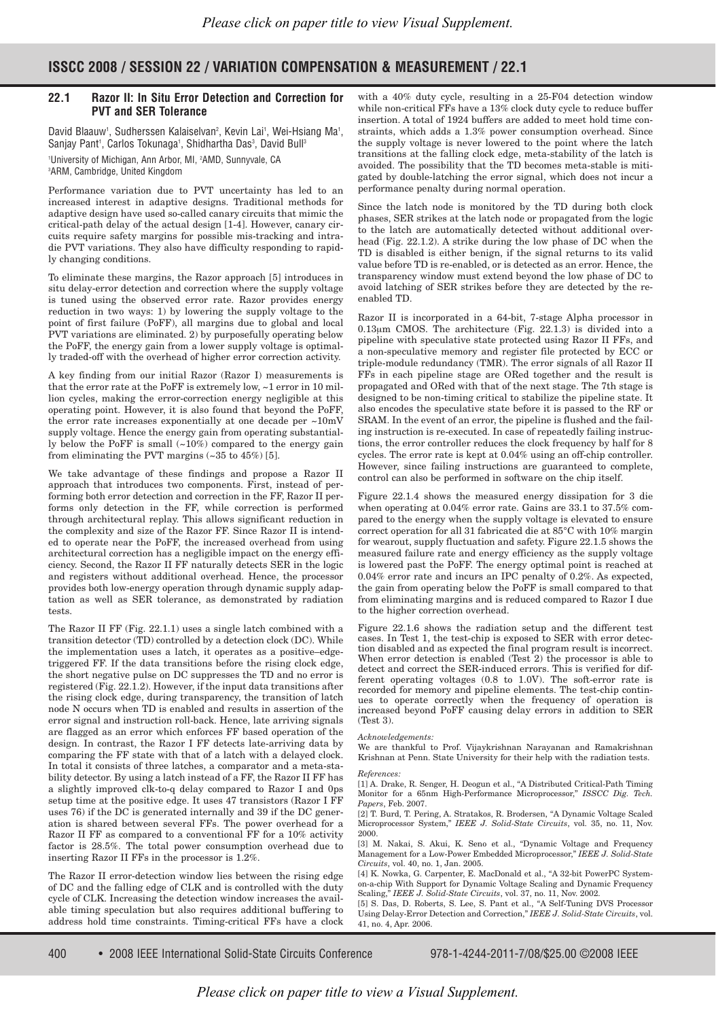# **ISSCC 2008 / SESSION 22 / VARIATION COMPENSATION & MEASUREMENT / 22.1**

### **22.1 Razor II: In Situ Error Detection and Correction for PVT and SER Tolerance**

David Blaauw<sup>1</sup>, Sudherssen Kalaiselvan<sup>2</sup>, Kevin Lai<sup>1</sup>, Wei-Hsiang Ma<sup>1</sup>, Sanjay Pant<sup>1</sup>, Carlos Tokunaga<sup>1</sup>, Shidhartha Das<sup>3</sup>, David Bull<sup>3</sup>

1 University of Michigan, Ann Arbor, MI, 2 AMD, Sunnyvale, CA 3 ARM, Cambridge, United Kingdom

Performance variation due to PVT uncertainty has led to an increased interest in adaptive designs. Traditional methods for adaptive design have used so-called canary circuits that mimic the critical-path delay of the actual design [1-4]. However, canary circuits require safety margins for possible mis-tracking and intradie PVT variations. They also have difficulty responding to rapidly changing conditions.

To eliminate these margins, the Razor approach [5] introduces in situ delay-error detection and correction where the supply voltage is tuned using the observed error rate. Razor provides energy reduction in two ways: 1) by lowering the supply voltage to the point of first failure (PoFF), all margins due to global and local PVT variations are eliminated. 2) by purposefully operating below the PoFF, the energy gain from a lower supply voltage is optimally traded-off with the overhead of higher error correction activity.

A key finding from our initial Razor (Razor I) measurements is that the error rate at the PoFF is extremely low, ~1 error in 10 million cycles, making the error-correction energy negligible at this operating point. However, it is also found that beyond the PoFF, the error rate increases exponentially at one decade per ~10mV supply voltage. Hence the energy gain from operating substantially below the PoFF is small  $(-10\%)$  compared to the energy gain from eliminating the PVT margins  $(-35 \text{ to } 45\%)$  [5].

We take advantage of these findings and propose a Razor II approach that introduces two components. First, instead of performing both error detection and correction in the FF, Razor II performs only detection in the FF, while correction is performed through architectural replay. This allows significant reduction in the complexity and size of the Razor FF. Since Razor II is intended to operate near the PoFF, the increased overhead from using architectural correction has a negligible impact on the energy efficiency. Second, the Razor II FF naturally detects SER in the logic and registers without additional overhead. Hence, the processor provides both low-energy operation through dynamic supply adaptation as well as SER tolerance, as demonstrated by radiation tests.

The Razor II FF (Fig. 22.1.1) uses a single latch combined with a transition detector (TD) controlled by a detection clock (DC). While the implementation uses a latch, it operates as a positive–edgetriggered FF. If the data transitions before the rising clock edge, the short negative pulse on DC suppresses the TD and no error is registered (Fig. 22.1.2). However, if the input data transitions after the rising clock edge, during transparency, the transition of latch node N occurs when TD is enabled and results in assertion of the error signal and instruction roll-back. Hence, late arriving signals are flagged as an error which enforces FF based operation of the design. In contrast, the Razor I FF detects late-arriving data by comparing the FF state with that of a latch with a delayed clock. In total it consists of three latches, a comparator and a meta-stability detector. By using a latch instead of a FF, the Razor II FF has a slightly improved clk-to-q delay compared to Razor I and 0ps setup time at the positive edge. It uses 47 transistors (Razor I FF uses 76) if the DC is generated internally and 39 if the DC generation is shared between several FFs. The power overhead for a Razor II FF as compared to a conventional FF for a 10% activity factor is 28.5%. The total power consumption overhead due to inserting Razor II FFs in the processor is 1.2%.

The Razor II error-detection window lies between the rising edge of DC and the falling edge of CLK and is controlled with the duty cycle of CLK. Increasing the detection window increases the available timing speculation but also requires additional buffering to address hold time constraints. Timing-critical FFs have a clock

with a 40% duty cycle, resulting in a 25-F04 detection window while non-critical FFs have a 13% clock duty cycle to reduce buffer insertion. A total of 1924 buffers are added to meet hold time constraints, which adds a 1.3% power consumption overhead. Since the supply voltage is never lowered to the point where the latch transitions at the falling clock edge, meta-stability of the latch is avoided. The possibility that the TD becomes meta-stable is mitigated by double-latching the error signal, which does not incur a performance penalty during normal operation.

Since the latch node is monitored by the TD during both clock phases, SER strikes at the latch node or propagated from the logic to the latch are automatically detected without additional overhead (Fig. 22.1.2). A strike during the low phase of DC when the TD is disabled is either benign, if the signal returns to its valid value before TD is re-enabled, or is detected as an error. Hence, the transparency window must extend beyond the low phase of DC to avoid latching of SER strikes before they are detected by the reenabled TD.

Razor II is incorporated in a 64-bit, 7-stage Alpha processor in 0.13μm CMOS. The architecture (Fig. 22.1.3) is divided into a pipeline with speculative state protected using Razor II FFs, and a non-speculative memory and register file protected by ECC or triple-module redundancy (TMR). The error signals of all Razor II FFs in each pipeline stage are ORed together and the result is propagated and ORed with that of the next stage. The 7th stage is designed to be non-timing critical to stabilize the pipeline state. It also encodes the speculative state before it is passed to the RF or SRAM. In the event of an error, the pipeline is flushed and the failing instruction is re-executed. In case of repeatedly failing instructions, the error controller reduces the clock frequency by half for 8 cycles. The error rate is kept at 0.04% using an off-chip controller. However, since failing instructions are guaranteed to complete, control can also be performed in software on the chip itself.

Figure 22.1.4 shows the measured energy dissipation for 3 die when operating at 0.04% error rate. Gains are 33.1 to 37.5% compared to the energy when the supply voltage is elevated to ensure correct operation for all 31 fabricated die at 85°C with 10% margin for wearout, supply fluctuation and safety. Figure 22.1.5 shows the measured failure rate and energy efficiency as the supply voltage is lowered past the PoFF. The energy optimal point is reached at 0.04% error rate and incurs an IPC penalty of 0.2%. As expected, the gain from operating below the PoFF is small compared to that from eliminating margins and is reduced compared to Razor I due to the higher correction overhead.

Figure 22.1.6 shows the radiation setup and the different test cases. In Test 1, the test-chip is exposed to SER with error detection disabled and as expected the final program result is incorrect. When error detection is enabled (Test 2) the processor is able to detect and correct the SER-induced errors. This is verified for different operating voltages (0.8 to 1.0V). The soft-error rate is recorded for memory and pipeline elements. The test-chip continues to operate correctly when the frequency of operation is increased beyond PoFF causing delay errors in addition to SER (Test 3).

#### *Acknowledgements:*

We are thankful to Prof. Vijaykrishnan Narayanan and Ramakrishnan Krishnan at Penn. State University for their help with the radiation tests.

#### *References:*

[1] A. Drake, R. Senger, H. Deogun et al., "A Distributed Critical-Path Timing Monitor for a 65nm High-Performance Microprocessor," *ISSCC Dig. Tech. Papers*, Feb. 2007.

[2] T. Burd, T. Pering, A. Stratakos, R. Brodersen, "A Dynamic Voltage Scaled Microprocessor System," *IEEE J. Solid-State Circuits*, vol. 35, no. 11, Nov. 2000.

[3] M. Nakai, S. Akui, K. Seno et al., "Dynamic Voltage and Frequency Management for a Low-Power Embedded Microprocessor," *IEEE J. Solid-State Circuits*, vol. 40, no. 1, Jan. 2005.

[4] K. Nowka, G. Carpenter, E. MacDonald et al., "A 32-bit PowerPC Systemon-a-chip With Support for Dynamic Voltage Scaling and Dynamic Frequency Scaling," *IEEE J. Solid-State Circuits*, vol. 37, no. 11, Nov. 2002.

[5] S. Das, D. Roberts, S. Lee, S. Pant et al., "A Self-Tuning DVS Processor Using Delay-Error Detection and Correction," *IEEE J. Solid-State Circuits*, vol. 41, no. 4, Apr. 2006.

978-1-4244-2011-7/08/\$25.00 ©2008 IEEE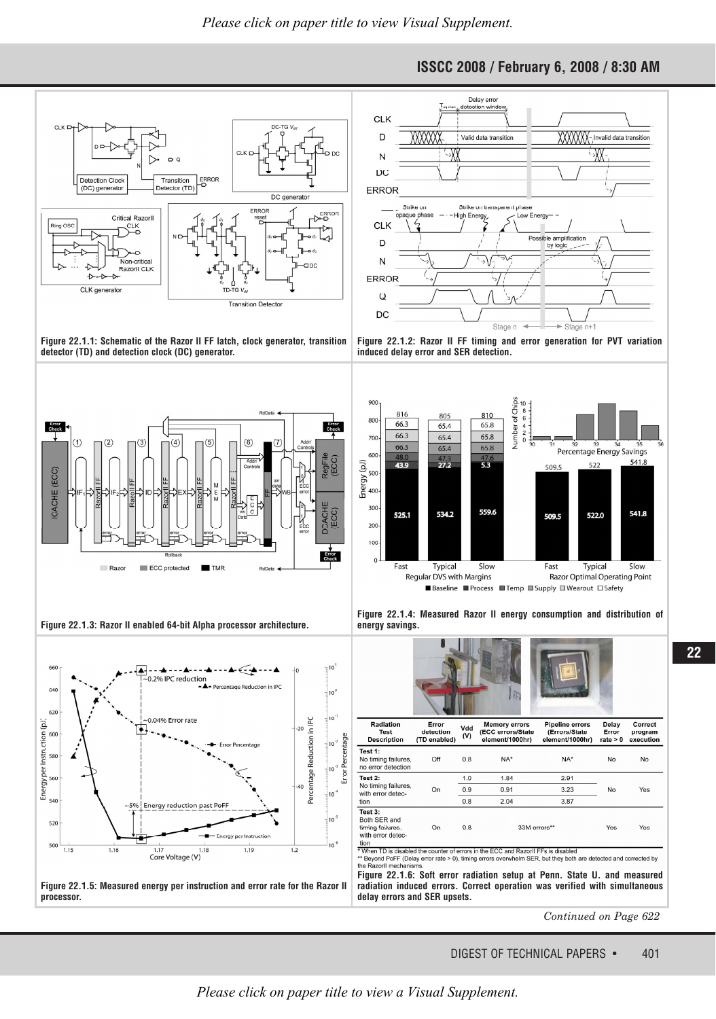

## DIGEST OF TECHNICAL PAPERS • 401

**22**